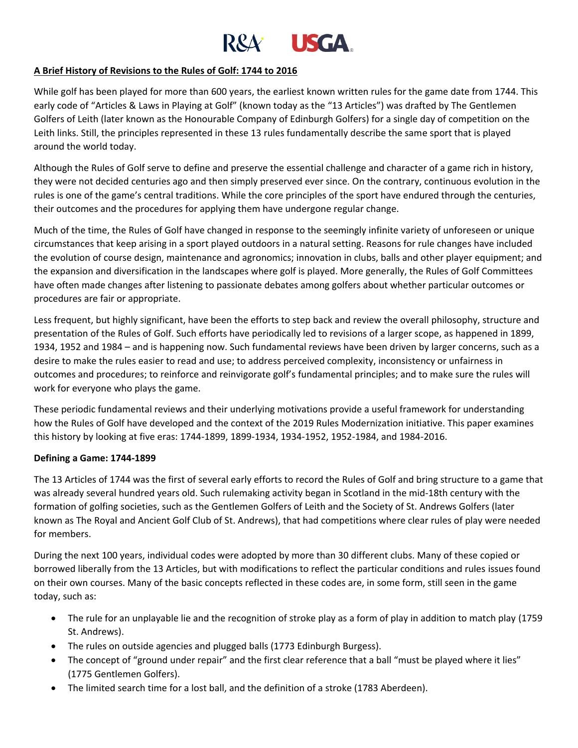

### **A Brief History of Revisions to the Rules of Golf: 1744 to 2016**

While golf has been played for more than 600 years, the earliest known written rules for the game date from 1744. This early code of "Articles & Laws in Playing at Golf" (known today as the "13 Articles") was drafted by The Gentlemen Golfers of Leith (later known as the Honourable Company of Edinburgh Golfers) for a single day of competition on the Leith links. Still, the principles represented in these 13 rules fundamentally describe the same sport that is played around the world today.

Although the Rules of Golf serve to define and preserve the essential challenge and character of a game rich in history, they were not decided centuries ago and then simply preserved ever since. On the contrary, continuous evolution in the rules is one of the game's central traditions. While the core principles of the sport have endured through the centuries, their outcomes and the procedures for applying them have undergone regular change.

Much of the time, the Rules of Golf have changed in response to the seemingly infinite variety of unforeseen or unique circumstances that keep arising in a sport played outdoors in a natural setting. Reasons for rule changes have included the evolution of course design, maintenance and agronomics; innovation in clubs, balls and other player equipment; and the expansion and diversification in the landscapes where golf is played. More generally, the Rules of Golf Committees have often made changes after listening to passionate debates among golfers about whether particular outcomes or procedures are fair or appropriate.

Less frequent, but highly significant, have been the efforts to step back and review the overall philosophy, structure and presentation of the Rules of Golf. Such efforts have periodically led to revisions of a larger scope, as happened in 1899, 1934, 1952 and 1984 – and is happening now. Such fundamental reviews have been driven by larger concerns, such as a desire to make the rules easier to read and use; to address perceived complexity, inconsistency or unfairness in outcomes and procedures; to reinforce and reinvigorate golf's fundamental principles; and to make sure the rules will work for everyone who plays the game.

These periodic fundamental reviews and their underlying motivations provide a useful framework for understanding how the Rules of Golf have developed and the context of the 2019 Rules Modernization initiative. This paper examines this history by looking at five eras: 1744-1899, 1899-1934, 1934-1952, 1952-1984, and 1984-2016.

### **Defining a Game: 1744-1899**

The 13 Articles of 1744 was the first of several early efforts to record the Rules of Golf and bring structure to a game that was already several hundred years old. Such rulemaking activity began in Scotland in the mid-18th century with the formation of golfing societies, such as the Gentlemen Golfers of Leith and the Society of St. Andrews Golfers (later known as The Royal and Ancient Golf Club of St. Andrews), that had competitions where clear rules of play were needed for members.

During the next 100 years, individual codes were adopted by more than 30 different clubs. Many of these copied or borrowed liberally from the 13 Articles, but with modifications to reflect the particular conditions and rules issues found on their own courses. Many of the basic concepts reflected in these codes are, in some form, still seen in the game today, such as:

- The rule for an unplayable lie and the recognition of stroke play as a form of play in addition to match play (1759 St. Andrews).
- The rules on outside agencies and plugged balls (1773 Edinburgh Burgess).
- The concept of "ground under repair" and the first clear reference that a ball "must be played where it lies" (1775 Gentlemen Golfers).
- The limited search time for a lost ball, and the definition of a stroke (1783 Aberdeen).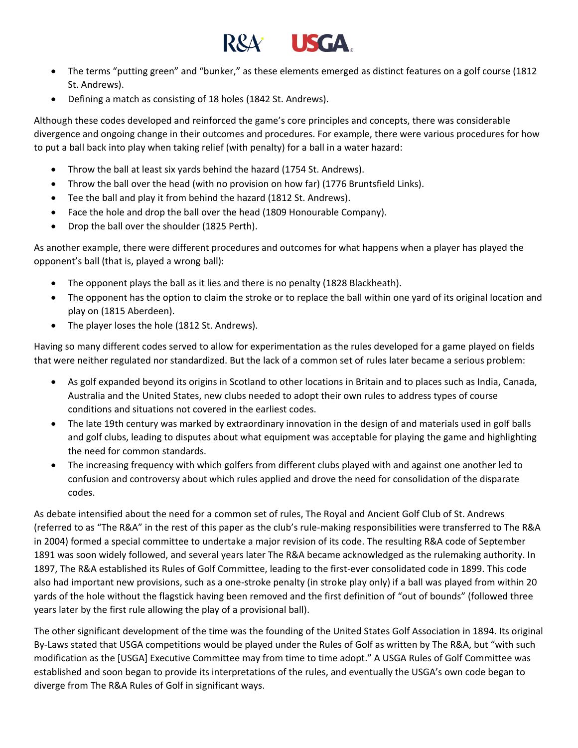

- The terms "putting green" and "bunker," as these elements emerged as distinct features on a golf course (1812 St. Andrews).
- Defining a match as consisting of 18 holes (1842 St. Andrews).

Although these codes developed and reinforced the game's core principles and concepts, there was considerable divergence and ongoing change in their outcomes and procedures. For example, there were various procedures for how to put a ball back into play when taking relief (with penalty) for a ball in a water hazard:

- Throw the ball at least six yards behind the hazard (1754 St. Andrews).
- Throw the ball over the head (with no provision on how far) (1776 Bruntsfield Links).
- Tee the ball and play it from behind the hazard (1812 St. Andrews).
- Face the hole and drop the ball over the head (1809 Honourable Company).
- Drop the ball over the shoulder (1825 Perth).

As another example, there were different procedures and outcomes for what happens when a player has played the opponent's ball (that is, played a wrong ball):

- The opponent plays the ball as it lies and there is no penalty (1828 Blackheath).
- The opponent has the option to claim the stroke or to replace the ball within one yard of its original location and play on (1815 Aberdeen).
- The player loses the hole (1812 St. Andrews).

Having so many different codes served to allow for experimentation as the rules developed for a game played on fields that were neither regulated nor standardized. But the lack of a common set of rules later became a serious problem:

- As golf expanded beyond its origins in Scotland to other locations in Britain and to places such as India, Canada, Australia and the United States, new clubs needed to adopt their own rules to address types of course conditions and situations not covered in the earliest codes.
- The late 19th century was marked by extraordinary innovation in the design of and materials used in golf balls and golf clubs, leading to disputes about what equipment was acceptable for playing the game and highlighting the need for common standards.
- The increasing frequency with which golfers from different clubs played with and against one another led to confusion and controversy about which rules applied and drove the need for consolidation of the disparate codes.

As debate intensified about the need for a common set of rules, The Royal and Ancient Golf Club of St. Andrews (referred to as "The R&A" in the rest of this paper as the club's rule-making responsibilities were transferred to The R&A in 2004) formed a special committee to undertake a major revision of its code. The resulting R&A code of September 1891 was soon widely followed, and several years later The R&A became acknowledged as the rulemaking authority. In 1897, The R&A established its Rules of Golf Committee, leading to the first-ever consolidated code in 1899. This code also had important new provisions, such as a one-stroke penalty (in stroke play only) if a ball was played from within 20 yards of the hole without the flagstick having been removed and the first definition of "out of bounds" (followed three years later by the first rule allowing the play of a provisional ball).

The other significant development of the time was the founding of the United States Golf Association in 1894. Its original By-Laws stated that USGA competitions would be played under the Rules of Golf as written by The R&A, but "with such modification as the [USGA] Executive Committee may from time to time adopt." A USGA Rules of Golf Committee was established and soon began to provide its interpretations of the rules, and eventually the USGA's own code began to diverge from The R&A Rules of Golf in significant ways.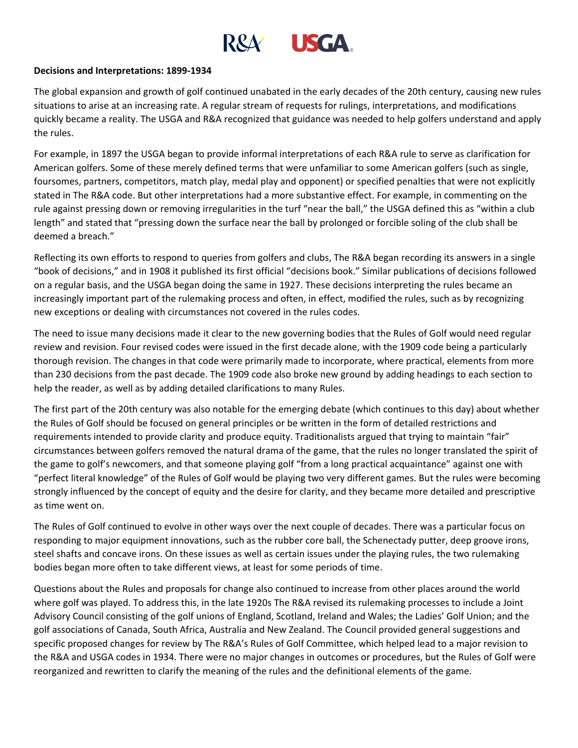# RRA<sup>.</sup> USGA

### **Decisions and Interpretations: 1899-1934**

The global expansion and growth of golf continued unabated in the early decades of the 20th century, causing new rules situations to arise at an increasing rate. A regular stream of requests for rulings, interpretations, and modifications quickly became a reality. The USGA and R&A recognized that guidance was needed to help golfers understand and apply the rules.

For example, in 1897 the USGA began to provide informal interpretations of each R&A rule to serve as clarification for American golfers. Some of these merely defined terms that were unfamiliar to some American golfers (such as single, foursomes, partners, competitors, match play, medal play and opponent) or specified penalties that were not explicitly stated in The R&A code. But other interpretations had a more substantive effect. For example, in commenting on the rule against pressing down or removing irregularities in the turf "near the ball," the USGA defined this as "within a club length" and stated that "pressing down the surface near the ball by prolonged or forcible soling of the club shall be deemed a breach."

Reflecting its own efforts to respond to queries from golfers and clubs, The R&A began recording its answers in a single "book of decisions," and in 1908 it published its first official "decisions book." Similar publications of decisions followed on a regular basis, and the USGA began doing the same in 1927. These decisions interpreting the rules became an increasingly important part of the rulemaking process and often, in effect, modified the rules, such as by recognizing new exceptions or dealing with circumstances not covered in the rules codes.

The need to issue many decisions made it clear to the new governing bodies that the Rules of Golf would need regular review and revision. Four revised codes were issued in the first decade alone, with the 1909 code being a particularly thorough revision. The changes in that code were primarily made to incorporate, where practical, elements from more than 230 decisions from the past decade. The 1909 code also broke new ground by adding headings to each section to help the reader, as well as by adding detailed clarifications to many Rules.

The first part of the 20th century was also notable for the emerging debate (which continues to this day) about whether the Rules of Golf should be focused on general principles or be written in the form of detailed restrictions and requirements intended to provide clarity and produce equity. Traditionalists argued that trying to maintain "fair" circumstances between golfers removed the natural drama of the game, that the rules no longer translated the spirit of the game to golf's newcomers, and that someone playing golf "from a long practical acquaintance" against one with "perfect literal knowledge" of the Rules of Golf would be playing two very different games. But the rules were becoming strongly influenced by the concept of equity and the desire for clarity, and they became more detailed and prescriptive as time went on.

The Rules of Golf continued to evolve in other ways over the next couple of decades. There was a particular focus on responding to major equipment innovations, such as the rubber core ball, the Schenectady putter, deep groove irons, steel shafts and concave irons. On these issues as well as certain issues under the playing rules, the two rulemaking bodies began more often to take different views, at least for some periods of time.

Questions about the Rules and proposals for change also continued to increase from other places around the world where golf was played. To address this, in the late 1920s The R&A revised its rulemaking processes to include a Joint Advisory Council consisting of the golf unions of England, Scotland, Ireland and Wales; the Ladies' Golf Union; and the golf associations of Canada, South Africa, Australia and New Zealand. The Council provided general suggestions and specific proposed changes for review by The R&A's Rules of Golf Committee, which helped lead to a major revision to the R&A and USGA codes in 1934. There were no major changes in outcomes or procedures, but the Rules of Golf were reorganized and rewritten to clarify the meaning of the rules and the definitional elements of the game.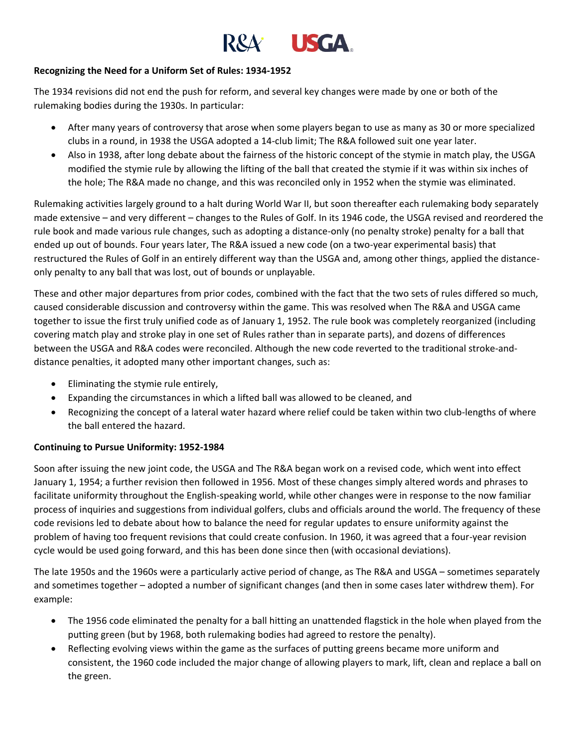## R&A USGA

### **Recognizing the Need for a Uniform Set of Rules: 1934-1952**

The 1934 revisions did not end the push for reform, and several key changes were made by one or both of the rulemaking bodies during the 1930s. In particular:

- After many years of controversy that arose when some players began to use as many as 30 or more specialized clubs in a round, in 1938 the USGA adopted a 14-club limit; The R&A followed suit one year later.
- Also in 1938, after long debate about the fairness of the historic concept of the stymie in match play, the USGA modified the stymie rule by allowing the lifting of the ball that created the stymie if it was within six inches of the hole; The R&A made no change, and this was reconciled only in 1952 when the stymie was eliminated.

Rulemaking activities largely ground to a halt during World War II, but soon thereafter each rulemaking body separately made extensive – and very different – changes to the Rules of Golf. In its 1946 code, the USGA revised and reordered the rule book and made various rule changes, such as adopting a distance-only (no penalty stroke) penalty for a ball that ended up out of bounds. Four years later, The R&A issued a new code (on a two-year experimental basis) that restructured the Rules of Golf in an entirely different way than the USGA and, among other things, applied the distanceonly penalty to any ball that was lost, out of bounds or unplayable.

These and other major departures from prior codes, combined with the fact that the two sets of rules differed so much, caused considerable discussion and controversy within the game. This was resolved when The R&A and USGA came together to issue the first truly unified code as of January 1, 1952. The rule book was completely reorganized (including covering match play and stroke play in one set of Rules rather than in separate parts), and dozens of differences between the USGA and R&A codes were reconciled. Although the new code reverted to the traditional stroke-anddistance penalties, it adopted many other important changes, such as:

- Eliminating the stymie rule entirely,
- Expanding the circumstances in which a lifted ball was allowed to be cleaned, and
- Recognizing the concept of a lateral water hazard where relief could be taken within two club-lengths of where the ball entered the hazard.

## **Continuing to Pursue Uniformity: 1952-1984**

Soon after issuing the new joint code, the USGA and The R&A began work on a revised code, which went into effect January 1, 1954; a further revision then followed in 1956. Most of these changes simply altered words and phrases to facilitate uniformity throughout the English-speaking world, while other changes were in response to the now familiar process of inquiries and suggestions from individual golfers, clubs and officials around the world. The frequency of these code revisions led to debate about how to balance the need for regular updates to ensure uniformity against the problem of having too frequent revisions that could create confusion. In 1960, it was agreed that a four-year revision cycle would be used going forward, and this has been done since then (with occasional deviations).

The late 1950s and the 1960s were a particularly active period of change, as The R&A and USGA – sometimes separately and sometimes together – adopted a number of significant changes (and then in some cases later withdrew them). For example:

- The 1956 code eliminated the penalty for a ball hitting an unattended flagstick in the hole when played from the putting green (but by 1968, both rulemaking bodies had agreed to restore the penalty).
- Reflecting evolving views within the game as the surfaces of putting greens became more uniform and consistent, the 1960 code included the major change of allowing players to mark, lift, clean and replace a ball on the green.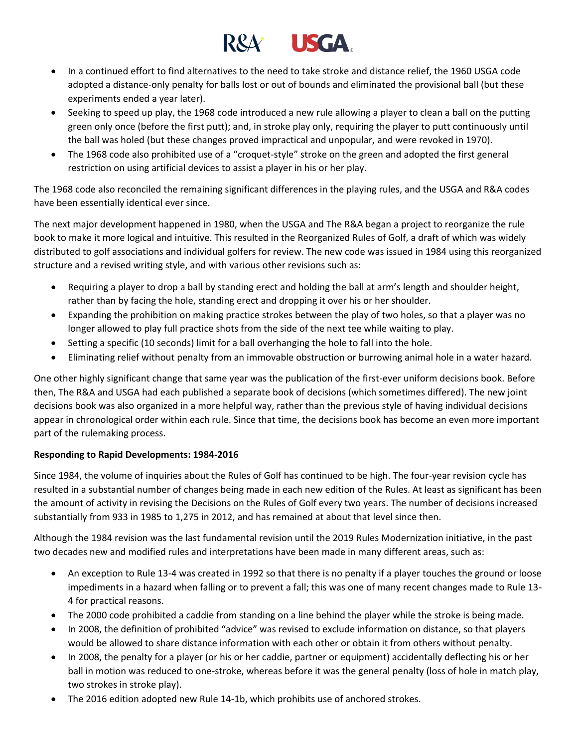

- In a continued effort to find alternatives to the need to take stroke and distance relief, the 1960 USGA code adopted a distance-only penalty for balls lost or out of bounds and eliminated the provisional ball (but these experiments ended a year later).
- Seeking to speed up play, the 1968 code introduced a new rule allowing a player to clean a ball on the putting green only once (before the first putt); and, in stroke play only, requiring the player to putt continuously until the ball was holed (but these changes proved impractical and unpopular, and were revoked in 1970).
- The 1968 code also prohibited use of a "croquet-style" stroke on the green and adopted the first general restriction on using artificial devices to assist a player in his or her play.

The 1968 code also reconciled the remaining significant differences in the playing rules, and the USGA and R&A codes have been essentially identical ever since.

The next major development happened in 1980, when the USGA and The R&A began a project to reorganize the rule book to make it more logical and intuitive. This resulted in the Reorganized Rules of Golf, a draft of which was widely distributed to golf associations and individual golfers for review. The new code was issued in 1984 using this reorganized structure and a revised writing style, and with various other revisions such as:

- Requiring a player to drop a ball by standing erect and holding the ball at arm's length and shoulder height, rather than by facing the hole, standing erect and dropping it over his or her shoulder.
- Expanding the prohibition on making practice strokes between the play of two holes, so that a player was no longer allowed to play full practice shots from the side of the next tee while waiting to play.
- Setting a specific (10 seconds) limit for a ball overhanging the hole to fall into the hole.
- Eliminating relief without penalty from an immovable obstruction or burrowing animal hole in a water hazard.

One other highly significant change that same year was the publication of the first-ever uniform decisions book. Before then, The R&A and USGA had each published a separate book of decisions (which sometimes differed). The new joint decisions book was also organized in a more helpful way, rather than the previous style of having individual decisions appear in chronological order within each rule. Since that time, the decisions book has become an even more important part of the rulemaking process.

## **Responding to Rapid Developments: 1984-2016**

Since 1984, the volume of inquiries about the Rules of Golf has continued to be high. The four-year revision cycle has resulted in a substantial number of changes being made in each new edition of the Rules. At least as significant has been the amount of activity in revising the Decisions on the Rules of Golf every two years. The number of decisions increased substantially from 933 in 1985 to 1,275 in 2012, and has remained at about that level since then.

Although the 1984 revision was the last fundamental revision until the 2019 Rules Modernization initiative, in the past two decades new and modified rules and interpretations have been made in many different areas, such as:

- An exception to Rule 13-4 was created in 1992 so that there is no penalty if a player touches the ground or loose impediments in a hazard when falling or to prevent a fall; this was one of many recent changes made to Rule 13- 4 for practical reasons.
- The 2000 code prohibited a caddie from standing on a line behind the player while the stroke is being made.
- In 2008, the definition of prohibited "advice" was revised to exclude information on distance, so that players would be allowed to share distance information with each other or obtain it from others without penalty.
- In 2008, the penalty for a player (or his or her caddie, partner or equipment) accidentally deflecting his or her ball in motion was reduced to one-stroke, whereas before it was the general penalty (loss of hole in match play, two strokes in stroke play).
- The 2016 edition adopted new Rule 14-1b, which prohibits use of anchored strokes.